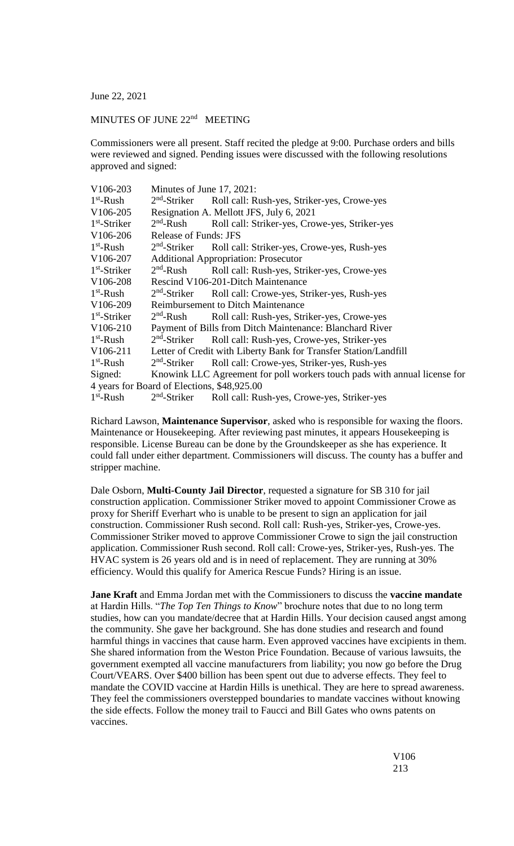June 22, 2021

## MINUTES OF JUNE 22<sup>nd</sup> MEETING

Commissioners were all present. Staff recited the pledge at 9:00. Purchase orders and bills were reviewed and signed. Pending issues were discussed with the following resolutions approved and signed:

| V106-203                                    | Minutes of June 17, 2021:                                        |                                                                           |  |  |
|---------------------------------------------|------------------------------------------------------------------|---------------------------------------------------------------------------|--|--|
| $1st$ -Rush                                 | $2nd$ -Striker                                                   | Roll call: Rush-yes, Striker-yes, Crowe-yes                               |  |  |
| V <sub>106</sub> -205                       | Resignation A. Mellott JFS, July 6, 2021                         |                                                                           |  |  |
| $1st$ -Striker                              | $2nd$ -Rush                                                      | Roll call: Striker-yes, Crowe-yes, Striker-yes                            |  |  |
| V106-206                                    | <b>Release of Funds: JFS</b>                                     |                                                                           |  |  |
| $1st$ -Rush                                 | $2nd$ -Striker                                                   | Roll call: Striker-yes, Crowe-yes, Rush-yes                               |  |  |
| V106-207                                    | <b>Additional Appropriation: Prosecutor</b>                      |                                                                           |  |  |
| $1st$ -Striker                              | $2nd$ -Rush                                                      | Roll call: Rush-yes, Striker-yes, Crowe-yes                               |  |  |
| V106-208                                    | Rescind V106-201-Ditch Maintenance                               |                                                                           |  |  |
| $1st$ -Rush                                 | $2nd$ -Striker                                                   | Roll call: Crowe-yes, Striker-yes, Rush-yes                               |  |  |
| V <sub>106</sub> -209                       | <b>Reimbursement to Ditch Maintenance</b>                        |                                                                           |  |  |
| $1st$ -Striker                              | $2nd$ -Rush                                                      | Roll call: Rush-yes, Striker-yes, Crowe-yes                               |  |  |
| V <sub>106</sub> -2 <sub>10</sub>           | Payment of Bills from Ditch Maintenance: Blanchard River         |                                                                           |  |  |
| $1st$ -Rush                                 | $2nd$ -Striker                                                   | Roll call: Rush-yes, Crowe-yes, Striker-yes                               |  |  |
| V106-211                                    | Letter of Credit with Liberty Bank for Transfer Station/Landfill |                                                                           |  |  |
| $1st$ -Rush                                 | $2nd$ -Striker                                                   | Roll call: Crowe-yes, Striker-yes, Rush-yes                               |  |  |
| Signed:                                     |                                                                  | Knowink LLC Agreement for poll workers touch pads with annual license for |  |  |
| 4 years for Board of Elections, \$48,925.00 |                                                                  |                                                                           |  |  |
| $1st$ -Rush                                 | $2nd$ -Striker                                                   | Roll call: Rush-yes, Crowe-yes, Striker-yes                               |  |  |
|                                             |                                                                  |                                                                           |  |  |

Richard Lawson, **Maintenance Supervisor**, asked who is responsible for waxing the floors. Maintenance or Housekeeping. After reviewing past minutes, it appears Housekeeping is responsible. License Bureau can be done by the Groundskeeper as she has experience. It could fall under either department. Commissioners will discuss. The county has a buffer and stripper machine.

Dale Osborn, **Multi-County Jail Director**, requested a signature for SB 310 for jail construction application. Commissioner Striker moved to appoint Commissioner Crowe as proxy for Sheriff Everhart who is unable to be present to sign an application for jail construction. Commissioner Rush second. Roll call: Rush-yes, Striker-yes, Crowe-yes. Commissioner Striker moved to approve Commissioner Crowe to sign the jail construction application. Commissioner Rush second. Roll call: Crowe-yes, Striker-yes, Rush-yes. The HVAC system is 26 years old and is in need of replacement. They are running at 30% efficiency. Would this qualify for America Rescue Funds? Hiring is an issue.

**Jane Kraft** and Emma Jordan met with the Commissioners to discuss the **vaccine mandate** at Hardin Hills. "*The Top Ten Things to Know*" brochure notes that due to no long term studies, how can you mandate/decree that at Hardin Hills. Your decision caused angst among the community. She gave her background. She has done studies and research and found harmful things in vaccines that cause harm. Even approved vaccines have excipients in them. She shared information from the Weston Price Foundation. Because of various lawsuits, the government exempted all vaccine manufacturers from liability; you now go before the Drug Court/VEARS. Over \$400 billion has been spent out due to adverse effects. They feel to mandate the COVID vaccine at Hardin Hills is unethical. They are here to spread awareness. They feel the commissioners overstepped boundaries to mandate vaccines without knowing the side effects. Follow the money trail to Faucci and Bill Gates who owns patents on vaccines.

> V106 213